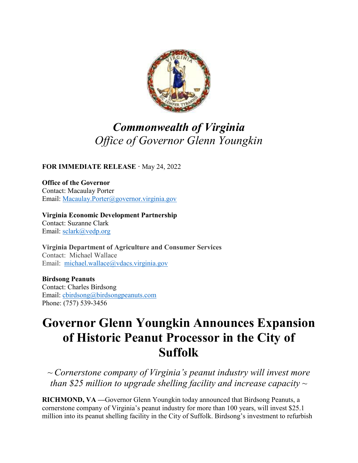

## *Commonwealth of Virginia Office of Governor Glenn Youngkin*

**FOR IMMEDIATE RELEASE ·** May 24, 2022

**Office of the Governor** Contact: Macaulay Porter Email: [Macaulay.Porter@governor.virginia.gov](mailto:Macaulay.Porter@governor.virginia.gov)

**Virginia Economic Development Partnership** Contact: Suzanne Clark Email: sclark@vedp.org

**Virginia Department of Agriculture and Consumer Services** Contact: Michael Wallace Email: michael.wallace@vdacs.virginia.gov

**Birdsong Peanuts**  Contact: Charles Birdsong Email: [cbirdsong@birdsongpeanuts.com](mailto:cbirdsong@birdsongpeanuts.com) Phone: (757) 539-3456

## **Governor Glenn Youngkin Announces Expansion of Historic Peanut Processor in the City of Suffolk**

*~ Cornerstone company of Virginia's peanut industry will invest more than \$25 million to upgrade shelling facility and increase capacity ~* 

**RICHMOND, VA —**Governor Glenn Youngkin today announced that Birdsong Peanuts, a cornerstone company of Virginia's peanut industry for more than 100 years, will invest \$25.1 million into its peanut shelling facility in the City of Suffolk. Birdsong's investment to refurbish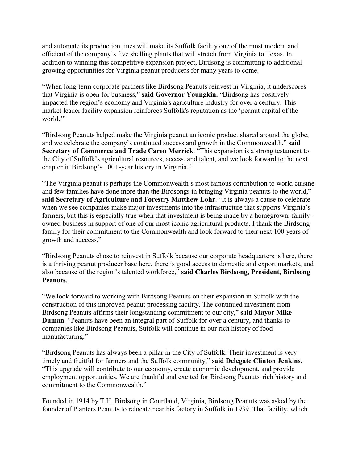and automate its production lines will make its Suffolk facility one of the most modern and efficient of the company's five shelling plants that will stretch from Virginia to Texas. In addition to winning this competitive expansion project, Birdsong is committing to additional growing opportunities for Virginia peanut producers for many years to come.

"When long-term corporate partners like Birdsong Peanuts reinvest in Virginia, it underscores that Virginia is open for business," **said Governor Youngkin.** "Birdsong has positively impacted the region's economy and Virginia's agriculture industry for over a century. This market leader facility expansion reinforces Suffolk's reputation as the 'peanut capital of the world."

"Birdsong Peanuts helped make the Virginia peanut an iconic product shared around the globe, and we celebrate the company's continued success and growth in the Commonwealth," **said Secretary of Commerce and Trade Caren Merrick**. "This expansion is a strong testament to the City of Suffolk's agricultural resources, access, and talent, and we look forward to the next chapter in Birdsong's 100+-year history in Virginia."

"The Virginia peanut is perhaps the Commonwealth's most famous contribution to world cuisine and few families have done more than the Birdsongs in bringing Virginia peanuts to the world," **said Secretary of Agriculture and Forestry Matthew Lohr**. "It is always a cause to celebrate when we see companies make major investments into the infrastructure that supports Virginia's farmers, but this is especially true when that investment is being made by a homegrown, familyowned business in support of one of our most iconic agricultural products. I thank the Birdsong family for their commitment to the Commonwealth and look forward to their next 100 years of growth and success."

"Birdsong Peanuts chose to reinvest in Suffolk because our corporate headquarters is here, there is a thriving peanut producer base here, there is good access to domestic and export markets, and also because of the region's talented workforce," **said Charles Birdsong, President, Birdsong Peanuts.**

"We look forward to working with Birdsong Peanuts on their expansion in Suffolk with the construction of this improved peanut processing facility. The continued investment from Birdsong Peanuts affirms their longstanding commitment to our city," **said Mayor Mike Duman**. "Peanuts have been an integral part of Suffolk for over a century, and thanks to companies like Birdsong Peanuts, Suffolk will continue in our rich history of food manufacturing."

"Birdsong Peanuts has always been a pillar in the City of Suffolk. Their investment is very timely and fruitful for farmers and the Suffolk community," **said Delegate Clinton Jenkins.** "This upgrade will contribute to our economy, create economic development, and provide employment opportunities. We are thankful and excited for Birdsong Peanuts' rich history and commitment to the Commonwealth."

Founded in 1914 by T.H. Birdsong in Courtland, Virginia, Birdsong Peanuts was asked by the founder of Planters Peanuts to relocate near his factory in Suffolk in 1939. That facility, which